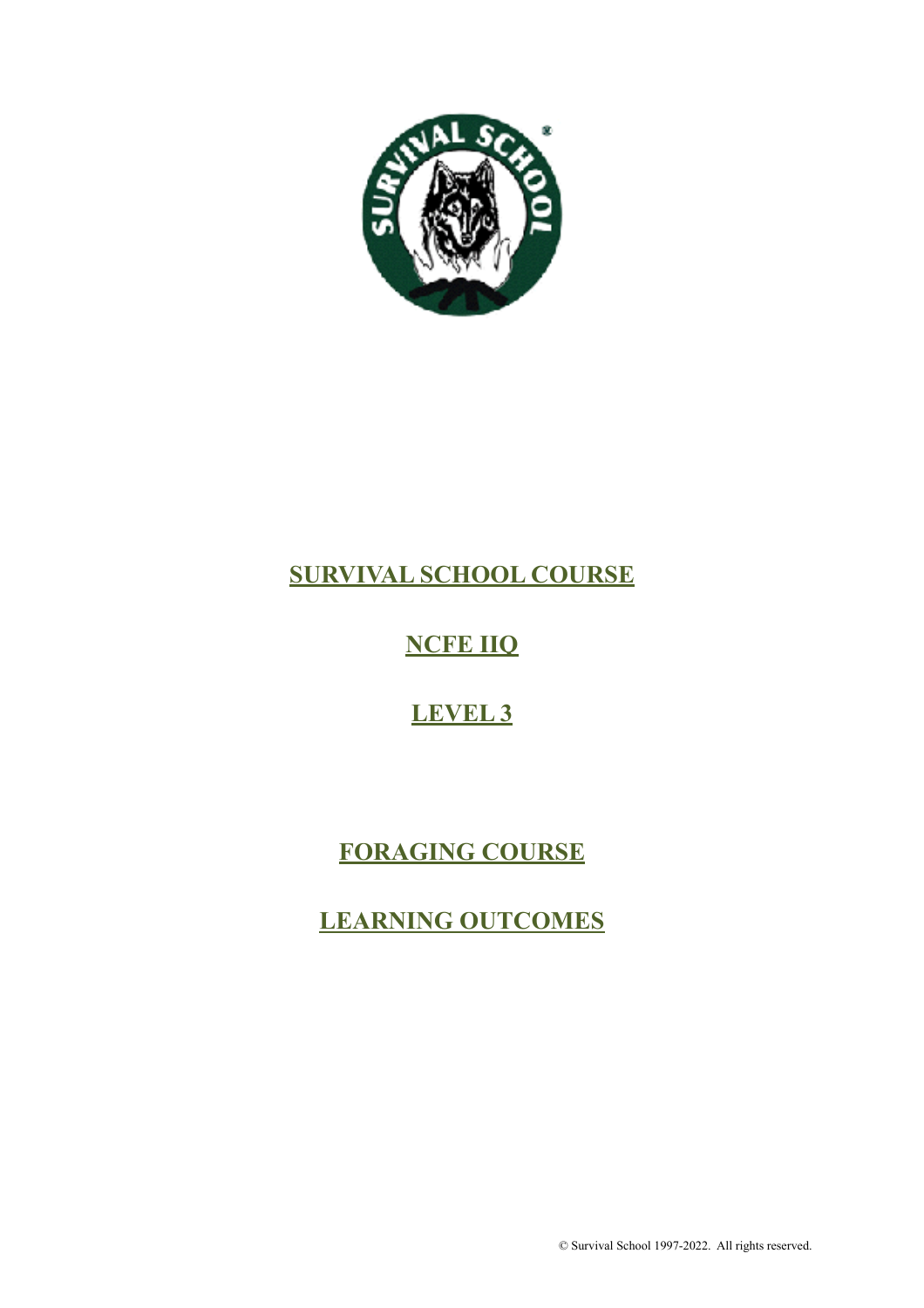

# **SURVIVAL SCHOOL COURSE**

# **NCFE IIQ**

# **LEVEL 3**

# **FORAGING COURSE**

# **LEARNING OUTCOMES**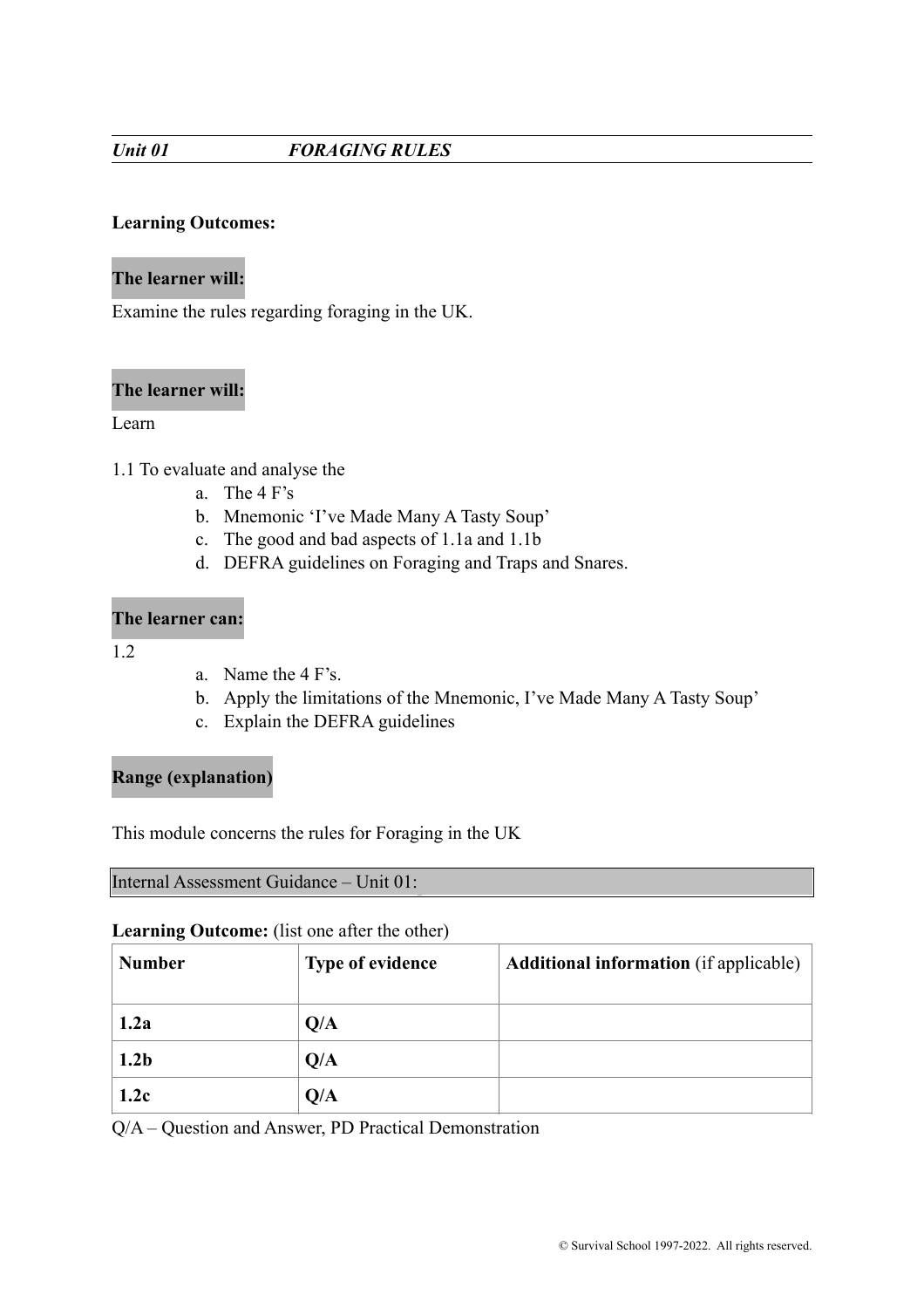# *Unit 01 FORAGING RULES*

# **Learning Outcomes:**

# **The learner will:**

Examine the rules regarding foraging in the UK.

# **The learner will:**

#### Learn

- 1.1 To evaluate and analyse the
	- a. The 4 F's
	- b. Mnemonic 'I've Made Many A Tasty Soup'
	- c. The good and bad aspects of 1.1a and 1.1b
	- d. DEFRA guidelines on Foraging and Traps and Snares.

# **The learner can:**

- 1.2
- a. Name the 4 F's.
- b. Apply the limitations of the Mnemonic, I've Made Many A Tasty Soup'
- c. Explain the DEFRA guidelines

# **Range (explanation)**

This module concerns the rules for Foraging in the UK

# Internal Assessment Guidance – Unit 01:

#### **Learning Outcome:** (list one after the other)

| <b>Number</b>    | <b>Type of evidence</b> | <b>Additional information</b> (if applicable) |
|------------------|-------------------------|-----------------------------------------------|
| 1.2a             | Q/A                     |                                               |
| 1.2 <sub>b</sub> | Q/A                     |                                               |
| 1.2c             | Q/A                     |                                               |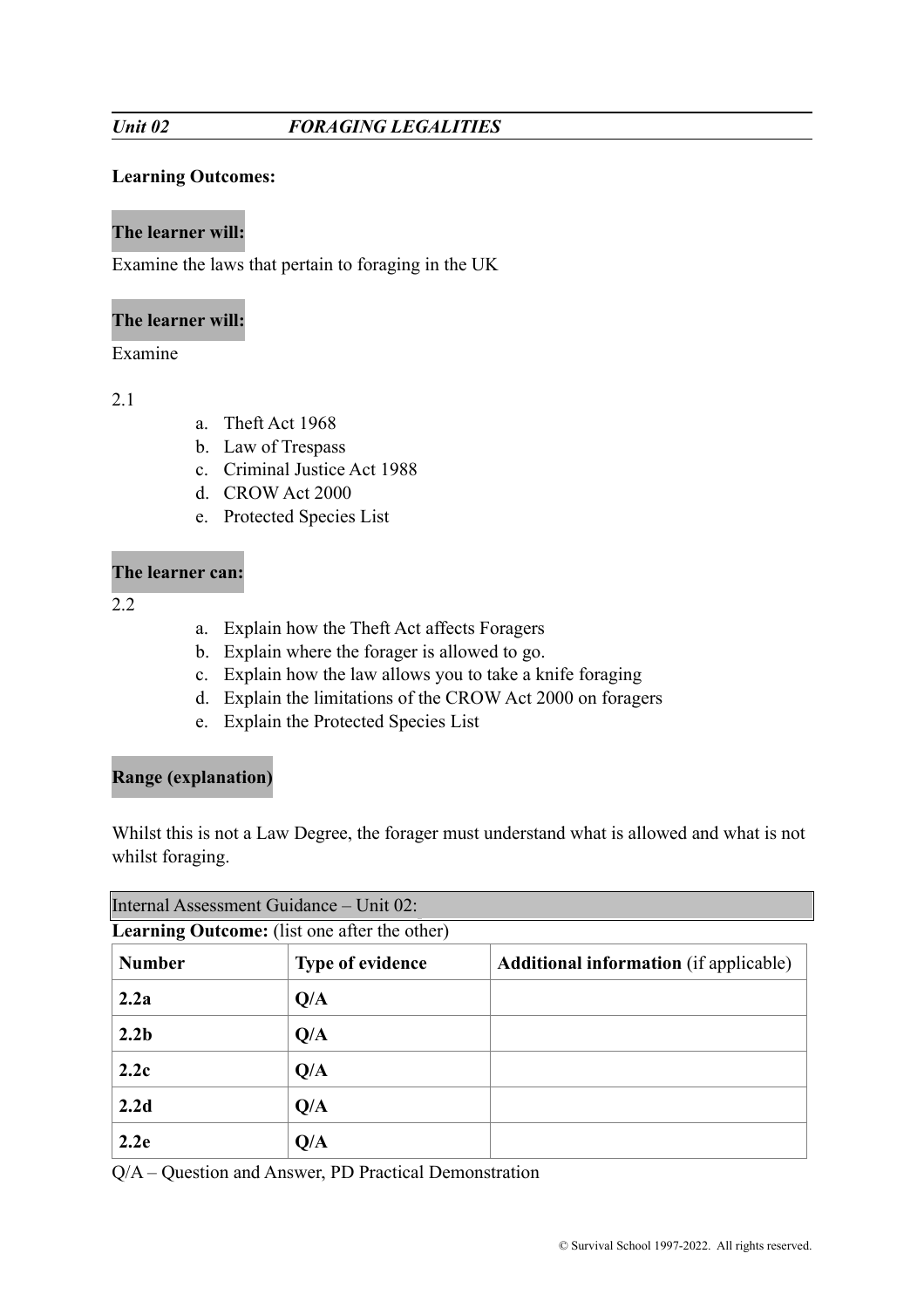# **Learning Outcomes:**

# **The learner will:**

Examine the laws that pertain to foraging in the UK

# **The learner will:**

Examine

2.1

- a. Theft Act 1968
- b. Law of Trespass
- c. Criminal Justice Act 1988
- d. CROW Act 2000
- e. Protected Species List

# **The learner can:**

2.2

- a. Explain how the Theft Act affects Foragers
- b. Explain where the forager is allowed to go.
- c. Explain how the law allows you to take a knife foraging
- d. Explain the limitations of the CROW Act 2000 on foragers
- e. Explain the Protected Species List

# **Range (explanation)**

Whilst this is not a Law Degree, the forager must understand what is allowed and what is not whilst foraging.

| Internal Assessment Guidance - Unit 02: |                                                     |                                               |  |
|-----------------------------------------|-----------------------------------------------------|-----------------------------------------------|--|
|                                         | <b>Learning Outcome:</b> (list one after the other) |                                               |  |
| <b>Number</b>                           | <b>Type of evidence</b>                             | <b>Additional information</b> (if applicable) |  |
| 2.2a                                    | Q/A                                                 |                                               |  |
| 2.2 <sub>b</sub>                        | Q/A                                                 |                                               |  |
| 2.2c                                    | Q/A                                                 |                                               |  |
| 2.2d                                    | Q/A                                                 |                                               |  |
| 2.2e                                    | Q/A                                                 |                                               |  |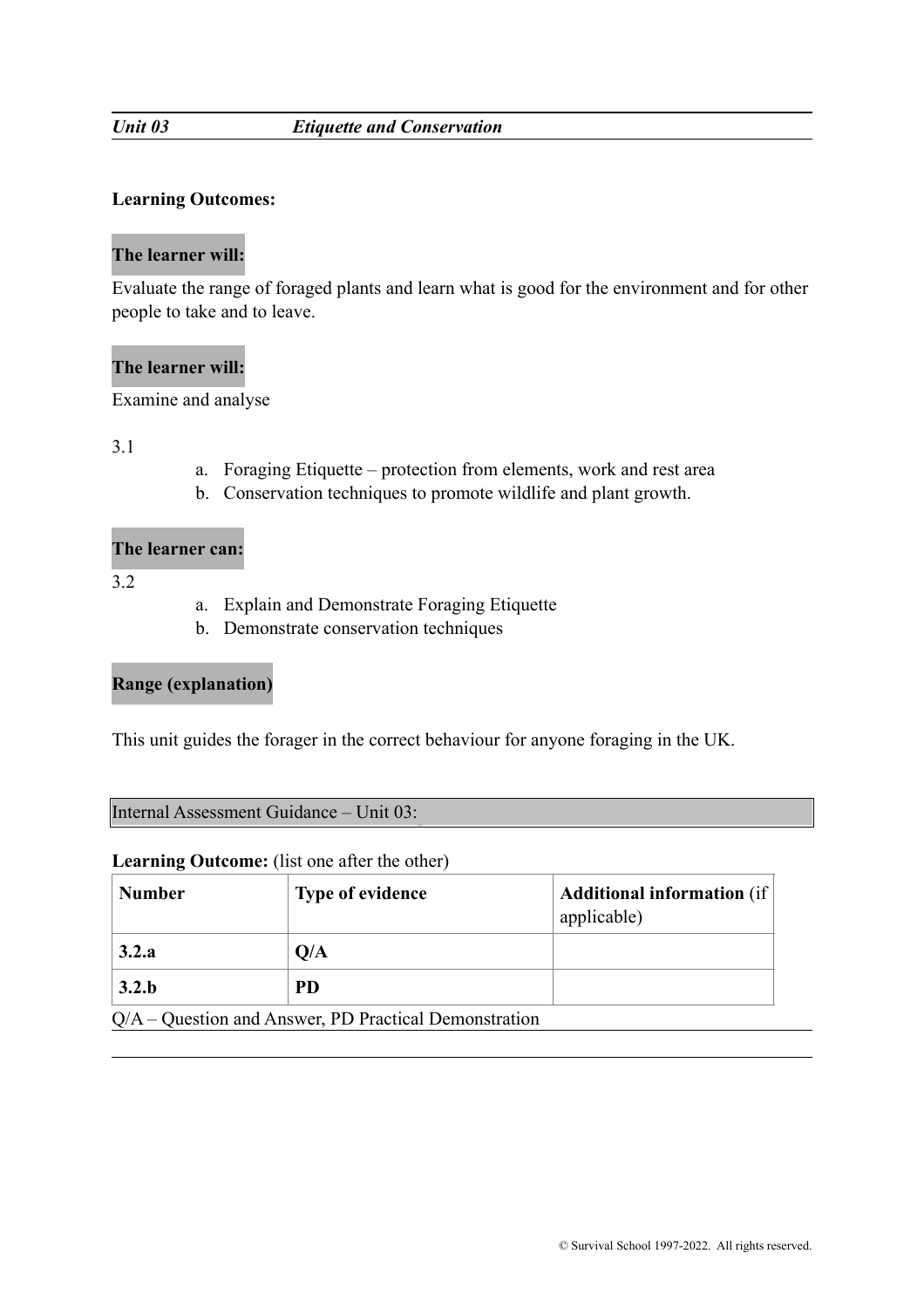#### *Unit 03 Etiquette and Conservation*

#### **Learning Outcomes:**

#### **The learner will:**

Evaluate the range of foraged plants and learn what is good for the environment and for other people to take and to leave.

# **The learner will:**

Examine and analyse

3.1

- a. Foraging Etiquette protection from elements, work and rest area
- b. Conservation techniques to promote wildlife and plant growth.

#### **The learner can:**

3.2

- a. Explain and Demonstrate Foraging Etiquette
- b. Demonstrate conservation techniques

# **Range (explanation)**

This unit guides the forager in the correct behaviour for anyone foraging in the UK.

Internal Assessment Guidance – Unit 03:

| <b>Number</b> | <b>Type of evidence</b>                                 | <b>Additional information</b> (if)<br>applicable) |
|---------------|---------------------------------------------------------|---------------------------------------------------|
| 3.2.a         | Q/A                                                     |                                                   |
| 3.2.b         | <b>PD</b>                                               |                                                   |
|               | $Q/A -$ Question and Answer, PD Practical Demonstration |                                                   |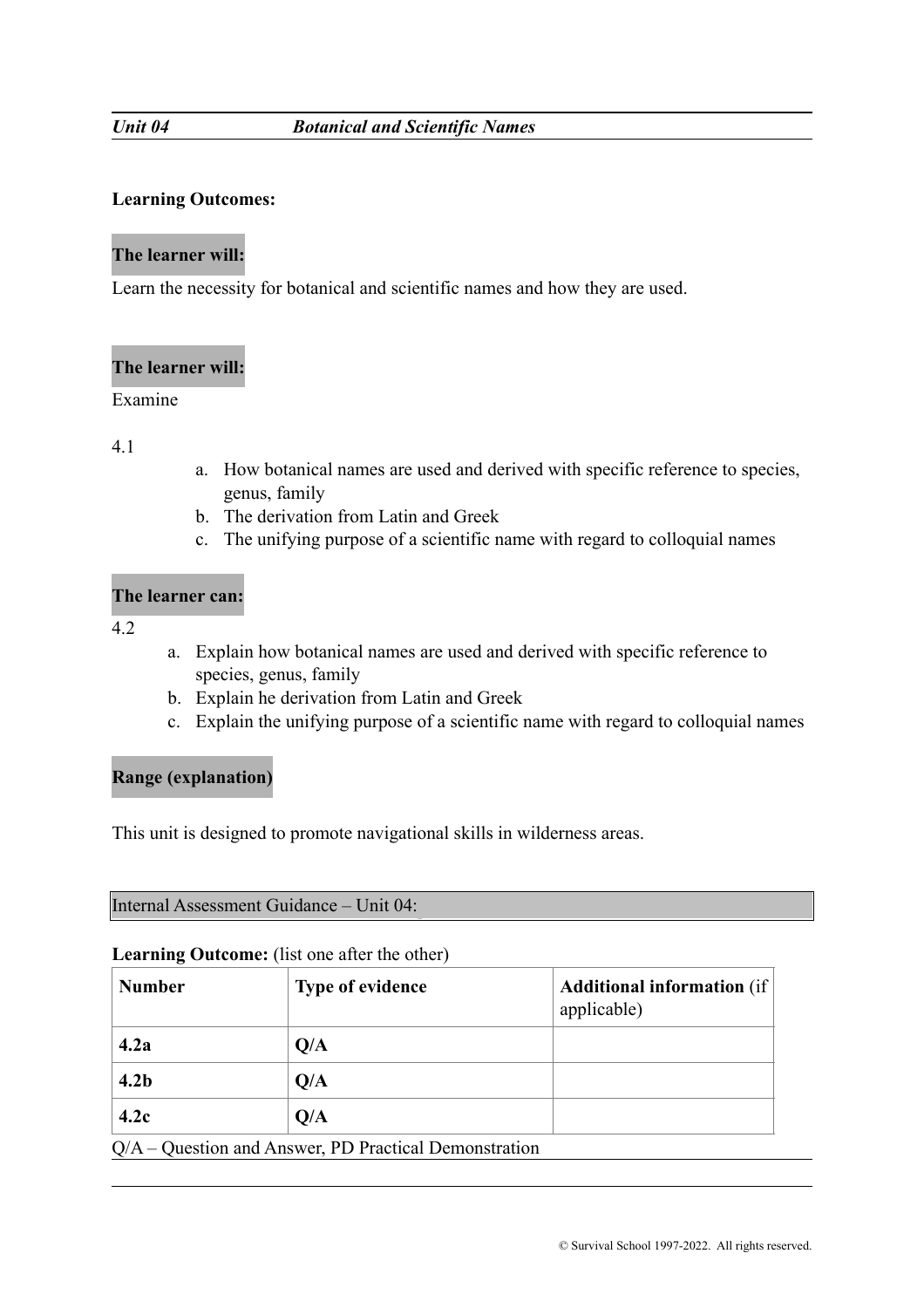# **Learning Outcomes:**

# **The learner will:**

Learn the necessity for botanical and scientific names and how they are used.

# **The learner will:**

#### Examine

# 4.1

- a. How botanical names are used and derived with specific reference to species, genus, family
- b. The derivation from Latin and Greek
- c. The unifying purpose of a scientific name with regard to colloquial names

# **The learner can:**

4.2

- a. Explain how botanical names are used and derived with specific reference to species, genus, family
- b. Explain he derivation from Latin and Greek
- c. Explain the unifying purpose of a scientific name with regard to colloquial names

# **Range (explanation)**

This unit is designed to promote navigational skills in wilderness areas.

Internal Assessment Guidance – Unit 04:

#### **Learning Outcome:** (list one after the other)

| <b>Number</b>    | <b>Type of evidence</b> | <b>Additional information</b> (if<br>applicable) |
|------------------|-------------------------|--------------------------------------------------|
| 4.2a             | Q/A                     |                                                  |
| 4.2 <sub>b</sub> | Q/A                     |                                                  |
| 4.2c             | Q/A                     |                                                  |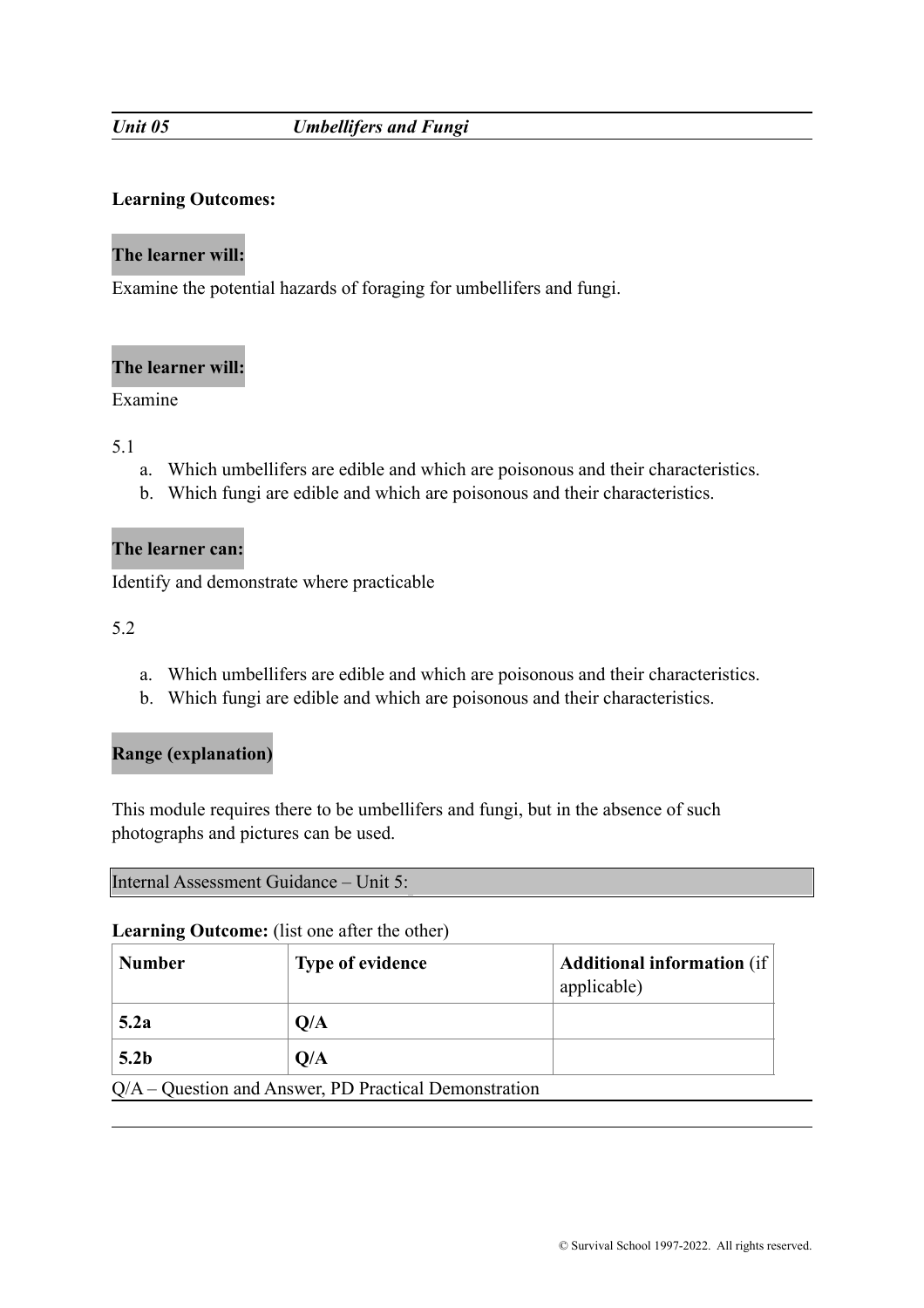# *Unit 05 Umbellifers and Fungi*

# **Learning Outcomes:**

# **The learner will:**

Examine the potential hazards of foraging for umbellifers and fungi.

# **The learner will:**

# Examine

5.1

- a. Which umbellifers are edible and which are poisonous and their characteristics.
- b. Which fungi are edible and which are poisonous and their characteristics.

# **The learner can:**

Identify and demonstrate where practicable

5.2

- a. Which umbellifers are edible and which are poisonous and their characteristics.
- b. Which fungi are edible and which are poisonous and their characteristics.

# **Range (explanation)**

This module requires there to be umbellifers and fungi, but in the absence of such photographs and pictures can be used.

|  | Internal Assessment Guidance – Unit 5: |  |
|--|----------------------------------------|--|
|--|----------------------------------------|--|

| <b>Number</b>    | <b>Type of evidence</b>                                 | <b>Additional information</b> (if<br>applicable) |
|------------------|---------------------------------------------------------|--------------------------------------------------|
| 5.2a             | Q/A                                                     |                                                  |
| 5.2 <sub>b</sub> | Q/A                                                     |                                                  |
|                  | $Q/A -$ Question and Answer, PD Practical Demonstration |                                                  |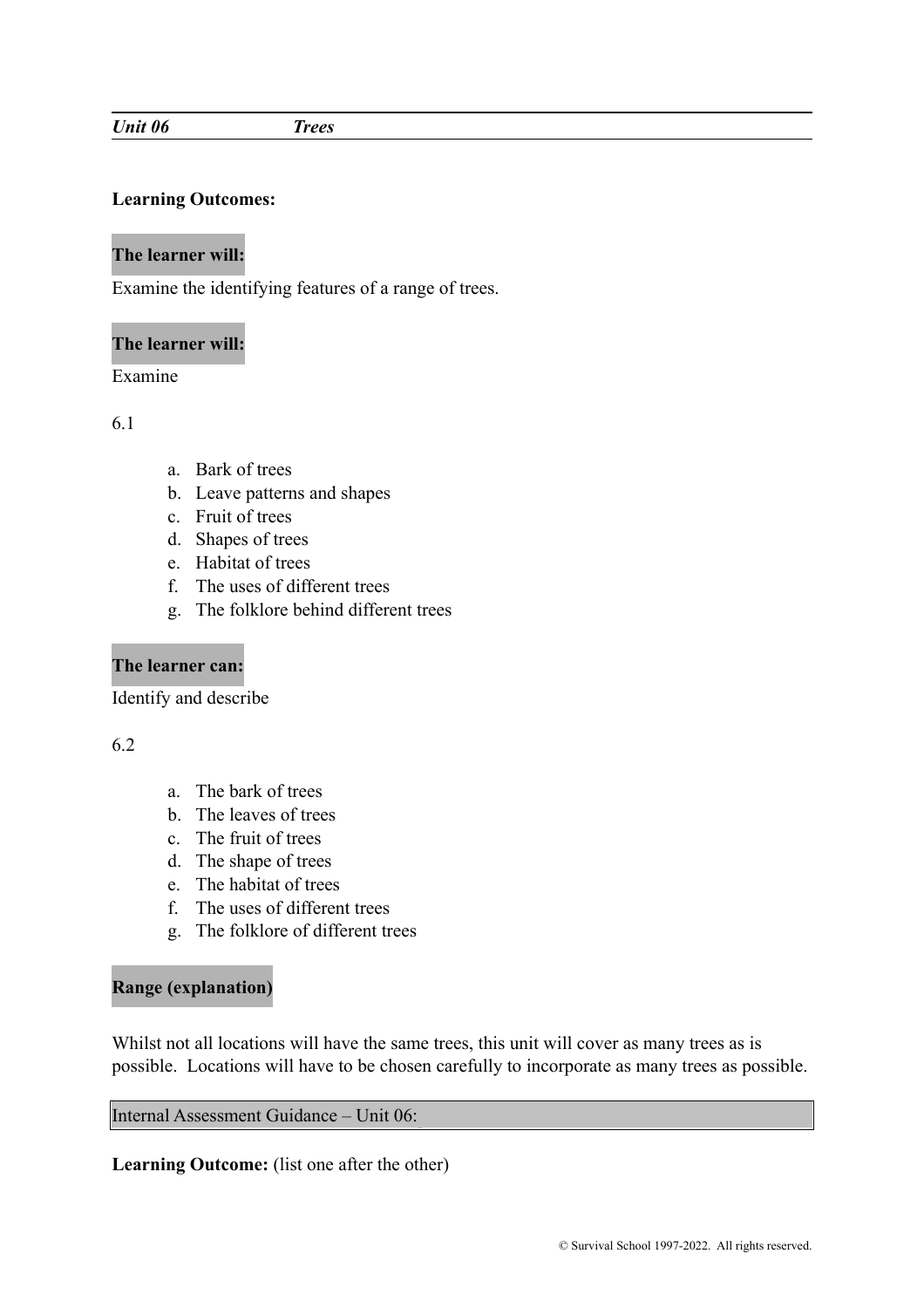#### *Unit 06 Trees*

#### **Learning Outcomes:**

# **The learner will:**

Examine the identifying features of a range of trees.

#### **The learner will:**

Examine

6.1

- a. Bark of trees
- b. Leave patterns and shapes
- c. Fruit of trees
- d. Shapes of trees
- e. Habitat of trees
- f. The uses of different trees
- g. The folklore behind different trees

# **The learner can:**

Identify and describe

# 6.2

- a. The bark of trees
- b. The leaves of trees
- c. The fruit of trees
- d. The shape of trees
- e. The habitat of trees
- f. The uses of different trees
- g. The folklore of different trees

# **Range (explanation)**

Whilst not all locations will have the same trees, this unit will cover as many trees as is possible. Locations will have to be chosen carefully to incorporate as many trees as possible.

Internal Assessment Guidance – Unit 06: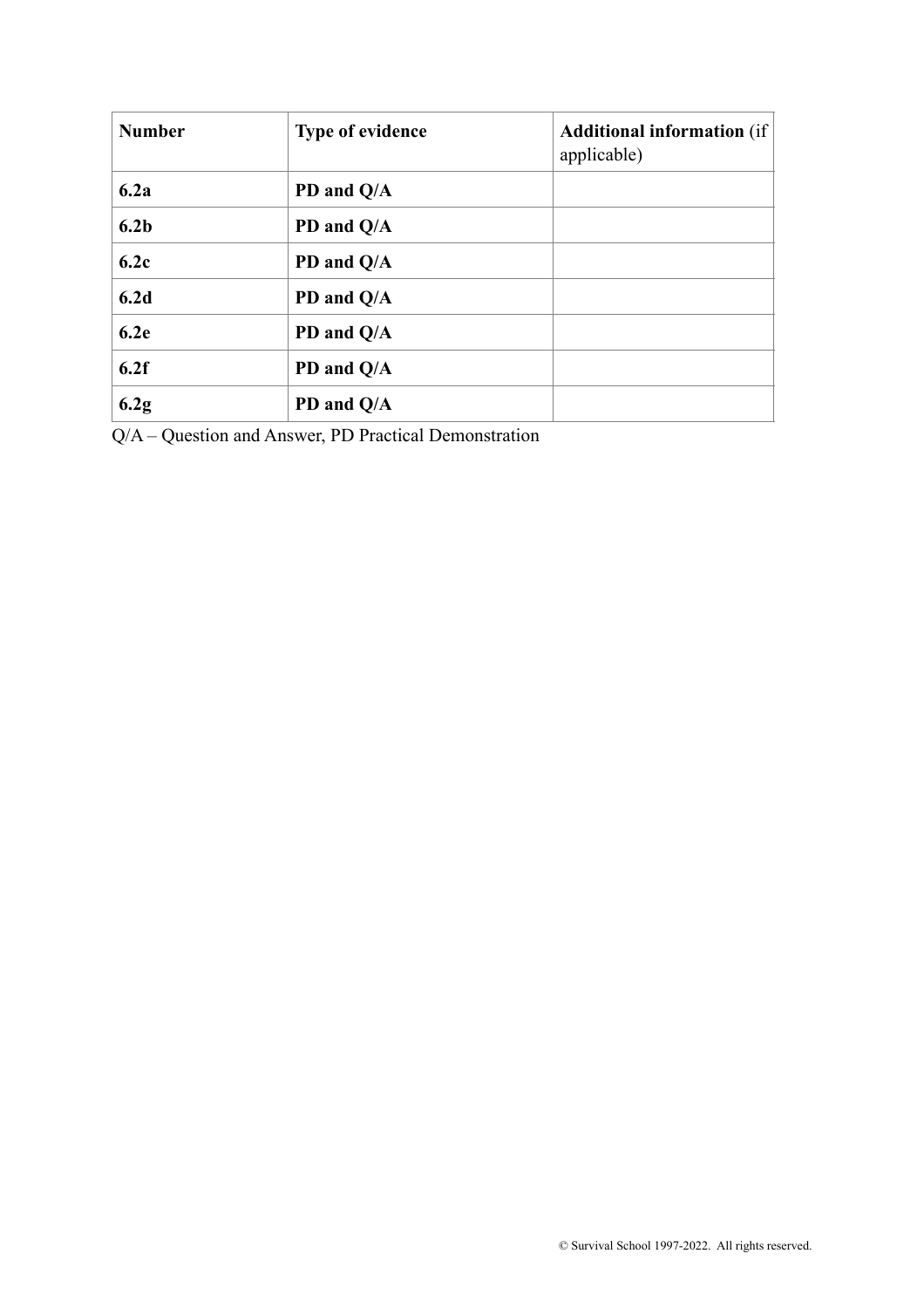| <b>Number</b>    | <b>Type of evidence</b> | <b>Additional information</b> (if<br>applicable) |
|------------------|-------------------------|--------------------------------------------------|
| 6.2a             | PD and Q/A              |                                                  |
| 6.2 <sub>b</sub> | PD and Q/A              |                                                  |
| 6.2c             | PD and Q/A              |                                                  |
| 6.2d             | PD and Q/A              |                                                  |
| 6.2e             | PD and Q/A              |                                                  |
| 6.2f             | PD and Q/A              |                                                  |
| 6.2g             | PD and Q/A              |                                                  |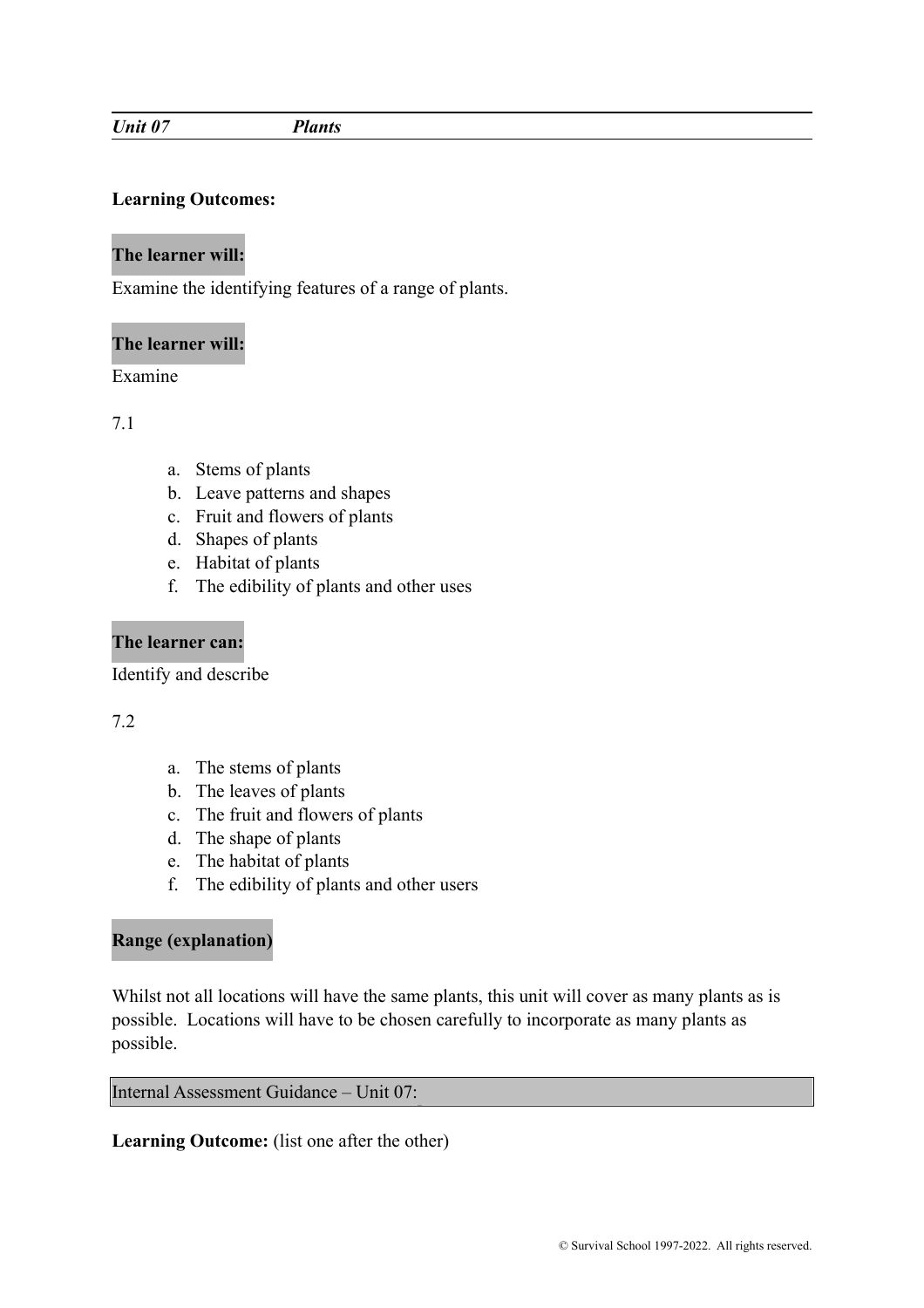#### *Unit 07 Plants*

# **Learning Outcomes:**

# **The learner will:**

Examine the identifying features of a range of plants.

# **The learner will:**

Examine

7.1

- a. Stems of plants
- b. Leave patterns and shapes
- c. Fruit and flowers of plants
- d. Shapes of plants
- e. Habitat of plants
- f. The edibility of plants and other uses

# **The learner can:**

Identify and describe

# 7.2

- a. The stems of plants
- b. The leaves of plants
- c. The fruit and flowers of plants
- d. The shape of plants
- e. The habitat of plants
- f. The edibility of plants and other users

# **Range (explanation)**

Whilst not all locations will have the same plants, this unit will cover as many plants as is possible. Locations will have to be chosen carefully to incorporate as many plants as possible.

## Internal Assessment Guidance – Unit 07: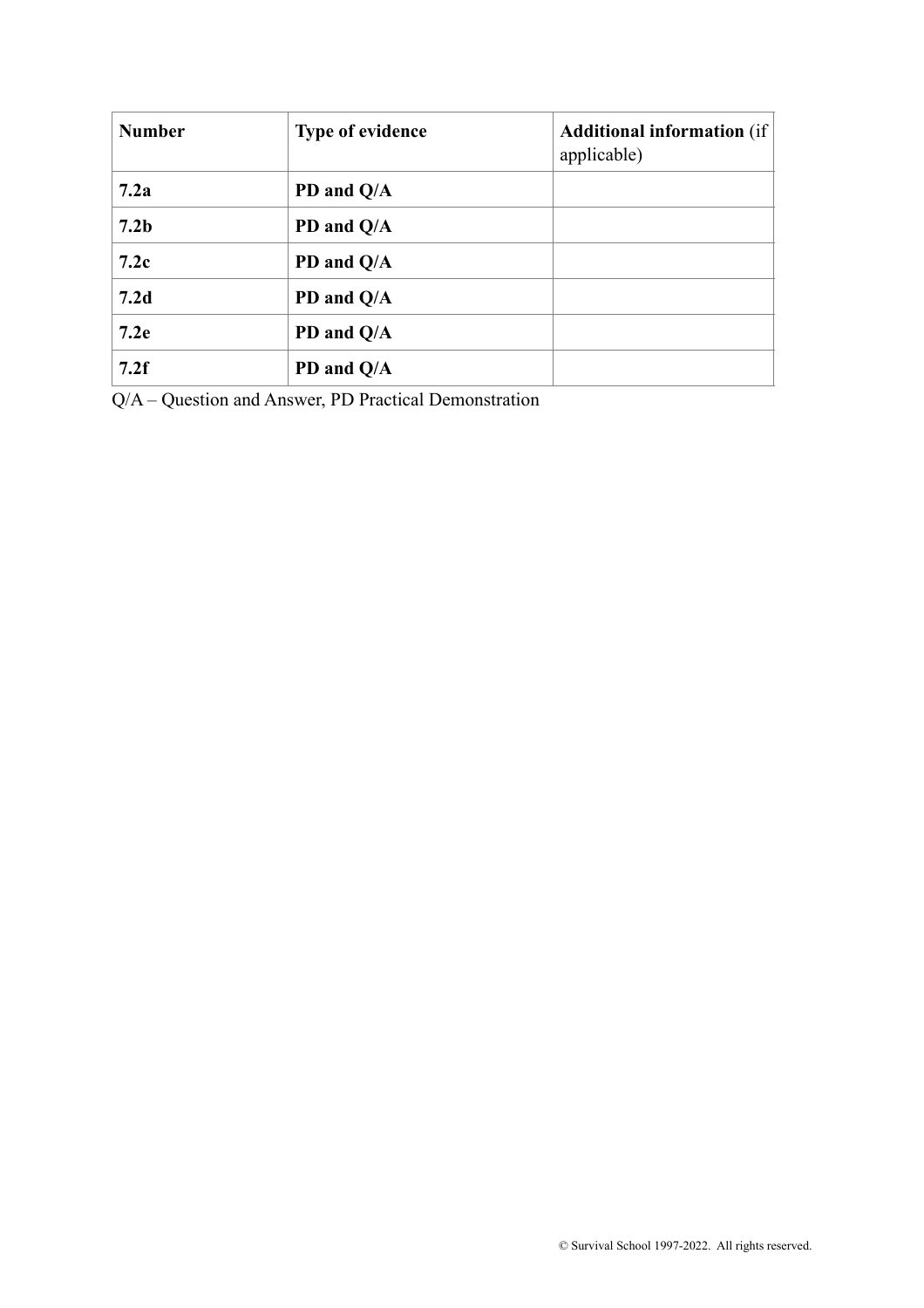| <b>Number</b>    | <b>Type of evidence</b> | <b>Additional information</b> (if<br>applicable) |
|------------------|-------------------------|--------------------------------------------------|
| 7.2a             | PD and Q/A              |                                                  |
| 7.2 <sub>b</sub> | PD and Q/A              |                                                  |
| 7.2c             | PD and Q/A              |                                                  |
| 7.2d             | PD and Q/A              |                                                  |
| 7.2e             | PD and Q/A              |                                                  |
| 7.2f             | PD and Q/A              |                                                  |